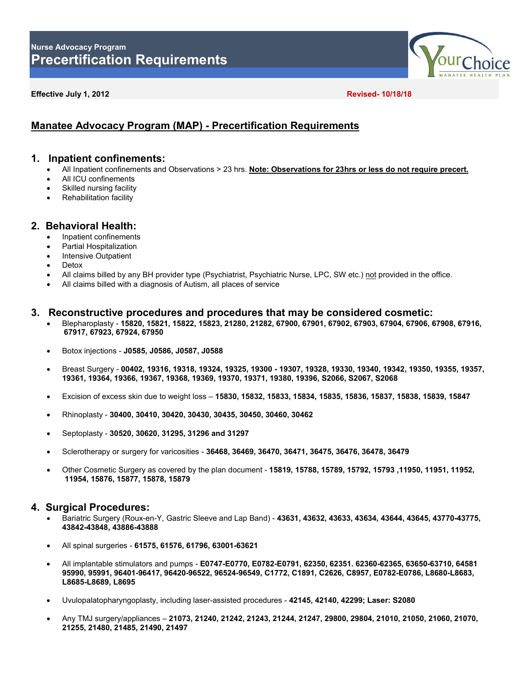

#### **Effective July 1, 2012 Revised- 10/18/18**

# **Manatee Advocacy Program (MAP) - Precertification Requirements**

## **1. Inpatient confinements:**

- All Inpatient confinements and Observations > 23 hrs. **Note: Observations for 23hrs or less do not require precert.**
- All ICU confinements
- Skilled nursing facility
- Rehabilitation facility

# **2. Behavioral Health:**

- Inpatient confinements
- Partial Hospitalization
- Intensive Outpatient
- **Detox**
- All claims billed by any BH provider type (Psychiatrist, Psychiatric Nurse, LPC, SW etc.) not provided in the office.
- All claims billed with a diagnosis of Autism, all places of service

### **3. Reconstructive procedures and procedures that may be considered cosmetic:**

- Blepharoplasty **15820, 15821, 15822, 15823, 21280, 21282, 67900, 67901, 67902, 67903, 67904, 67906, 67908, 67916, 67917, 67923, 67924, 67950**
- Botox injections **J0585, J0586, J0587, J0588**
- Breast Surgery **00402, 19316, 19318, 19324, 19325, 19300 - 19307, 19328, 19330, 19340, 19342, 19350, 19355, 19357, 19361, 19364, 19366, 19367, 19368, 19369, 19370, 19371, 19380, 19396, S2066, S2067, S2068**
- Excision of excess skin due to weight loss **15830, 15832, 15833, 15834, 15835, 15836, 15837, 15838, 15839, 15847**
- Rhinoplasty **30400, 30410, 30420, 30430, 30435, 30450, 30460, 30462**
- Septoplasty **30520, 30620, 31295, 31296 and 31297**
- Sclerotherapy or surgery for varicosities **36468, 36469, 36470, 36471, 36475, 36476, 36478, 36479**
- Other Cosmetic Surgery as covered by the plan document **15819, 15788, 15789, 15792, 15793 ,11950, 11951, 11952, 11954, 15876, 15877, 15878, 15879**

# **4. Surgical Procedures:**

- Bariatric Surgery (Roux-en-Y, Gastric Sleeve and Lap Band) **43631, 43632, 43633, 43634, 43644, 43645, 43770-43775, 43842-43848, 43886-43888**
- All spinal surgeries **61575, 61576, 61796, 63001-63621**
- All implantable stimulators and pumps **E0747-E0770, E0782-E0791, 62350, 62351. 62360-62365, 63650-63710, 64581 95990, 95991, 96401-96417, 96420-96522, 96524-96549, C1772, C1891, C2626, C8957, E0782-E0786, L8680-L8683, L8685-L8689, L8695**
- Uvulopalatopharyngoplasty, including laser-assisted procedures **42145, 42140, 42299; Laser: S2080**
- Any TMJ surgery/appliances **21073, 21240, 21242, 21243, 21244, 21247, 29800, 29804, 21010, 21050, 21060, 21070, 21255, 21480, 21485, 21490, 21497**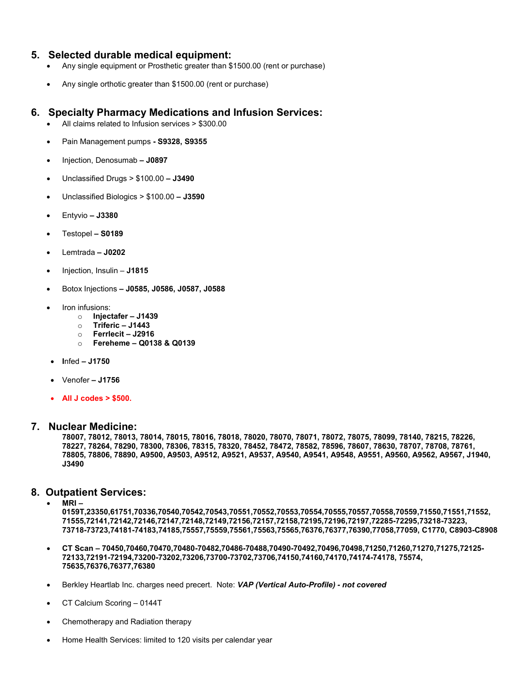# **5. Selected durable medical equipment:**

- Any single equipment or Prosthetic greater than \$1500.00 (rent or purchase)
- Any single orthotic greater than \$1500.00 (rent or purchase)

# **6. Specialty Pharmacy Medications and Infusion Services:**

- All claims related to Infusion services > \$300.00
- Pain Management pumps **- S9328, S9355**
- Injection, Denosumab **– J0897**
- Unclassified Drugs > \$100.00 **– J3490**
- Unclassified Biologics > \$100.00 **– J3590**
- Entyvio **– J3380**
- Testopel **– S0189**
- Lemtrada **– J0202**
- Injection, Insulin **J1815**
- Botox Injections **– J0585, J0586, J0587, J0588**
- Iron infusions:
	- o **Injectafer – J1439**
	- o **Triferic – J1443**
	- o **Ferrlecit – J2916**
	- o **Fereheme – Q0138 & Q0139**
- **I**nfed **– J1750**
- Venofer **– J1756**
- **All J codes > \$500.**

### **7. Nuclear Medicine:**

**78007, 78012, 78013, 78014, 78015, 78016, 78018, 78020, 78070, 78071, 78072, 78075, 78099, 78140, 78215, 78226, 78227, 78264, 78290, 78300, 78306, 78315, 78320, 78452, 78472, 78582, 78596, 78607, 78630, 78707, 78708, 78761, 78805, 78806, 78890, A9500, A9503, A9512, A9521, A9537, A9540, A9541, A9548, A9551, A9560, A9562, A9567, J1940, J3490**

# **8. Outpatient Services:**

• **MRI –**

**0159T,23350,61751,70336,70540,70542,70543,70551,70552,70553,70554,70555,70557,70558,70559,71550,71551,71552, 71555,72141,72142,72146,72147,72148,72149,72156,72157,72158,72195,72196,72197,72285-72295,73218-73223, 73718-73723,74181-74183,74185,75557,75559,75561,75563,75565,76376,76377,76390,77058,77059, C1770, C8903-C8908**

- **CT Scan – 70450,70460,70470,70480-70482,70486-70488,70490-70492,70496,70498,71250,71260,71270,71275,72125- 72133,72191-72194,73200-73202,73206,73700-73702,73706,74150,74160,74170,74174-74178, 75574, 75635,76376,76377,76380**
- Berkley Heartlab Inc. charges need precert. Note: *VAP (Vertical Auto-Profile) - not covered*
- CT Calcium Scoring 0144T
- Chemotherapy and Radiation therapy
- Home Health Services: limited to 120 visits per calendar year